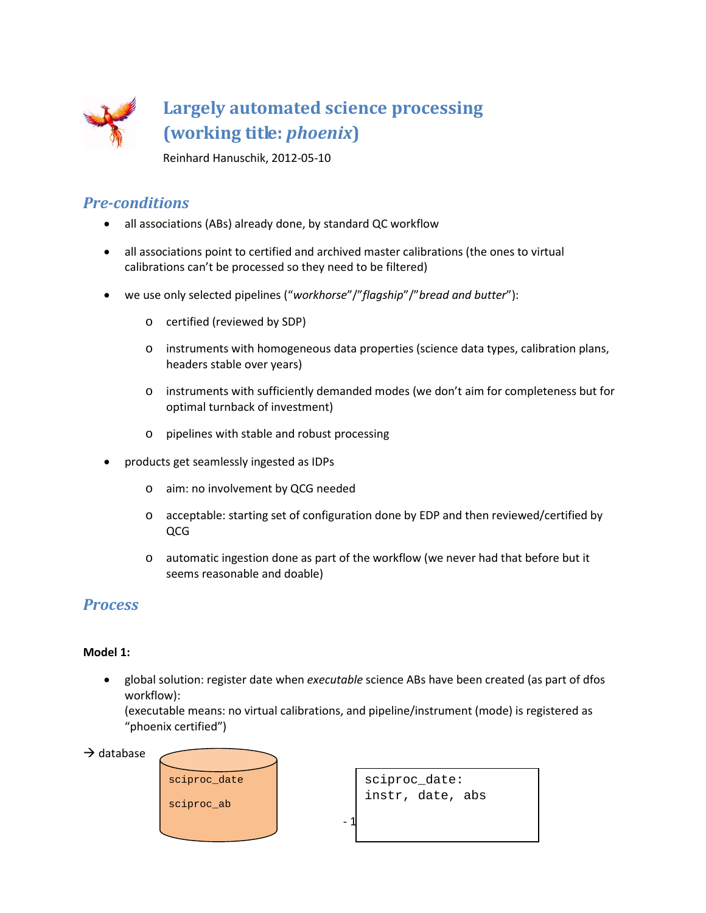

Reinhard Hanuschik, 2012-05-10

#### *Pre-conditions*

- all associations (ABs) already done, by standard QC workflow
- all associations point to certified and archived master calibrations (the ones to virtual calibrations can't be processed so they need to be filtered)
- we use only selected pipelines ("*workhorse*"/"*flagship*"/"*bread and butter*"):
	- o certified (reviewed by SDP)
	- o instruments with homogeneous data properties (science data types, calibration plans, headers stable over years)
	- o instruments with sufficiently demanded modes (we don't aim for completeness but for optimal turnback of investment)
	- o pipelines with stable and robust processing
- products get seamlessly ingested as IDPs
	- o aim: no involvement by QCG needed
	- o acceptable: starting set of configuration done by EDP and then reviewed/certified by QCG
	- o automatic ingestion done as part of the workflow (we never had that before but it seems reasonable and doable)

### *Process*

#### **Model 1:**

• global solution: register date when *executable* science ABs have been created (as part of dfos workflow):

(executable means: no virtual calibrations, and pipeline/instrument (mode) is registered as "phoenix certified")

 $\rightarrow$  database



sciproc\_date: instr, date, abs

 $-1$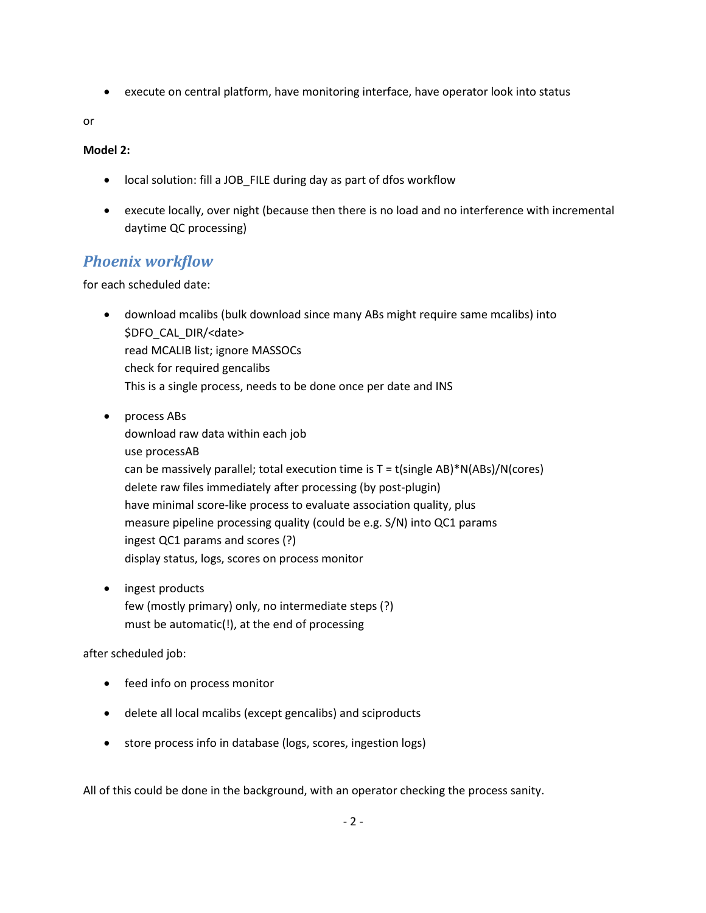• execute on central platform, have monitoring interface, have operator look into status

or

#### **Model 2:**

- local solution: fill a JOB\_FILE during day as part of dfos workflow
- execute locally, over night (because then there is no load and no interference with incremental daytime QC processing)

## *Phoenix workflow*

for each scheduled date:

- download mcalibs (bulk download since many ABs might require same mcalibs) into \$DFO\_CAL\_DIR/<date> read MCALIB list; ignore MASSOCs check for required gencalibs This is a single process, needs to be done once per date and INS
- process ABs download raw data within each job use processAB can be massively parallel; total execution time is  $T = t$ (single AB)\*N(ABs)/N(cores) delete raw files immediately after processing (by post-plugin) have minimal score-like process to evaluate association quality, plus measure pipeline processing quality (could be e.g. S/N) into QC1 params ingest QC1 params and scores (?) display status, logs, scores on process monitor
- ingest products few (mostly primary) only, no intermediate steps (?) must be automatic(!), at the end of processing

after scheduled job:

- feed info on process monitor
- delete all local mcalibs (except gencalibs) and sciproducts
- store process info in database (logs, scores, ingestion logs)

All of this could be done in the background, with an operator checking the process sanity.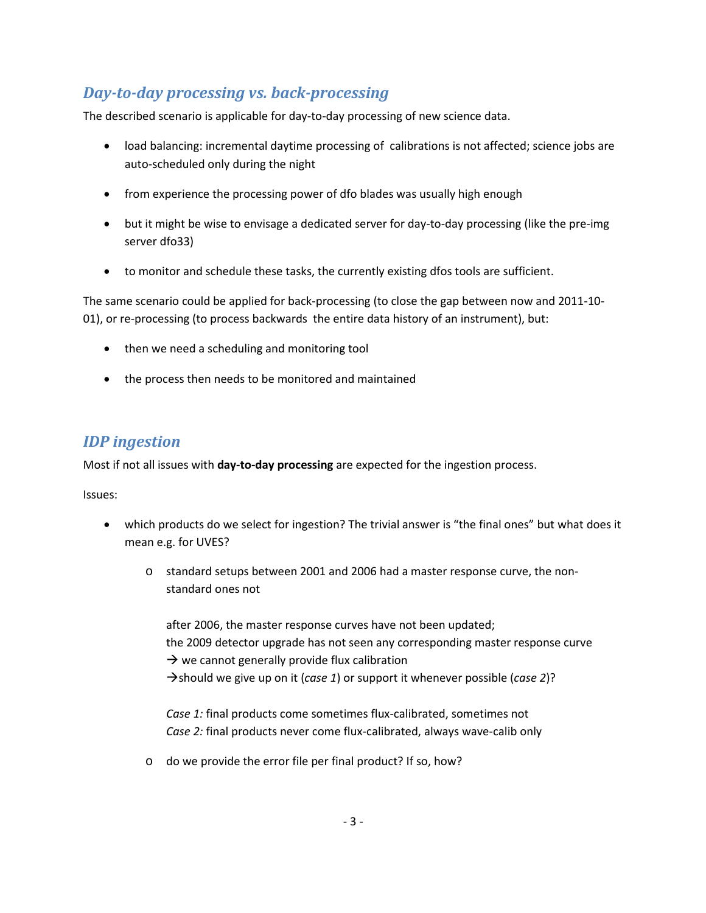## *Day-to-day processing vs. back-processing*

The described scenario is applicable for day-to-day processing of new science data.

- load balancing: incremental daytime processing of calibrations is not affected; science jobs are auto-scheduled only during the night
- from experience the processing power of dfo blades was usually high enough
- but it might be wise to envisage a dedicated server for day-to-day processing (like the pre-img server dfo33)
- to monitor and schedule these tasks, the currently existing dfos tools are sufficient.

The same scenario could be applied for back-processing (to close the gap between now and 2011-10- 01), or re-processing (to process backwards the entire data history of an instrument), but:

- then we need a scheduling and monitoring tool
- the process then needs to be monitored and maintained

## *IDP ingestion*

Most if not all issues with **day-to-day processing** are expected for the ingestion process.

Issues:

- which products do we select for ingestion? The trivial answer is "the final ones" but what does it mean e.g. for UVES?
	- o standard setups between 2001 and 2006 had a master response curve, the nonstandard ones not

after 2006, the master response curves have not been updated; the 2009 detector upgrade has not seen any corresponding master response curve  $\rightarrow$  we cannot generally provide flux calibration should we give up on it (*case 1*) or support it whenever possible (*case 2*)?

*Case 1:* final products come sometimes flux-calibrated, sometimes not *Case 2:* final products never come flux-calibrated, always wave-calib only

o do we provide the error file per final product? If so, how?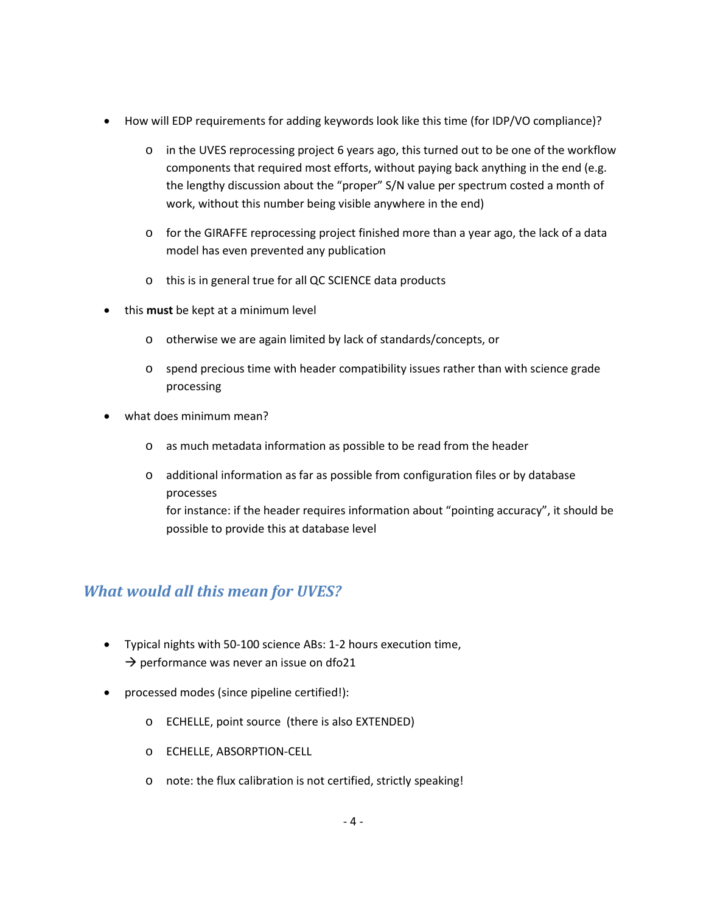- How will EDP requirements for adding keywords look like this time (for IDP/VO compliance)?
	- o in the UVES reprocessing project 6 years ago, this turned out to be one of the workflow components that required most efforts, without paying back anything in the end (e.g. the lengthy discussion about the "proper" S/N value per spectrum costed a month of work, without this number being visible anywhere in the end)
	- o for the GIRAFFE reprocessing project finished more than a year ago, the lack of a data model has even prevented any publication
	- o this is in general true for all QC SCIENCE data products
- this **must** be kept at a minimum level
	- o otherwise we are again limited by lack of standards/concepts, or
	- o spend precious time with header compatibility issues rather than with science grade processing
- what does minimum mean?
	- o as much metadata information as possible to be read from the header
	- o additional information as far as possible from configuration files or by database processes

for instance: if the header requires information about "pointing accuracy", it should be possible to provide this at database level

## *What would all this mean for UVES?*

- Typical nights with 50-100 science ABs: 1-2 hours execution time,  $\rightarrow$  performance was never an issue on dfo21
- processed modes (since pipeline certified!):
	- o ECHELLE, point source (there is also EXTENDED)
	- o ECHELLE, ABSORPTION-CELL
	- o note: the flux calibration is not certified, strictly speaking!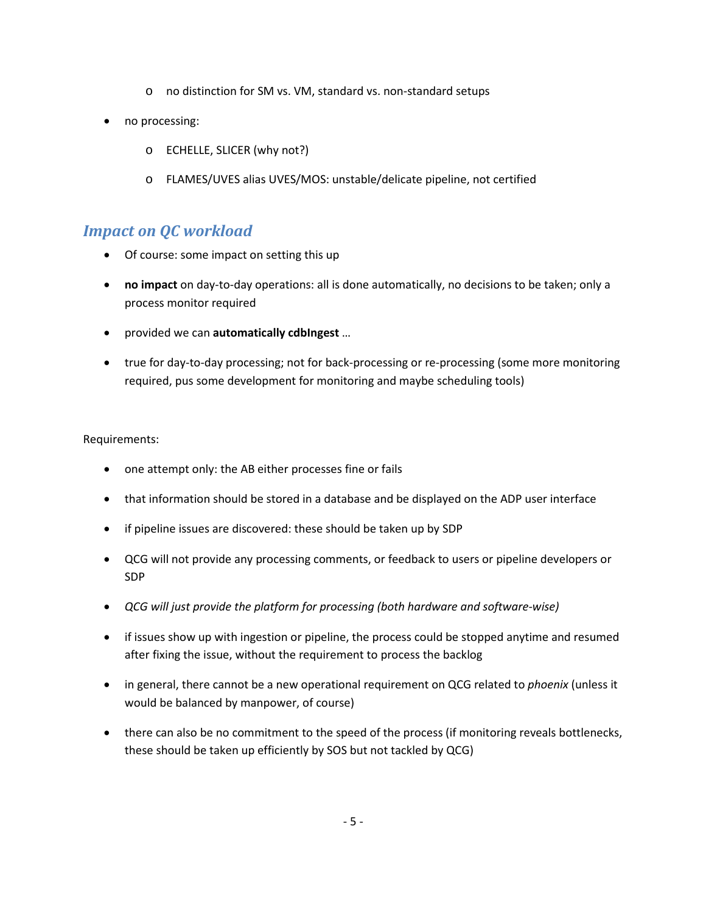- o no distinction for SM vs. VM, standard vs. non-standard setups
- no processing:
	- o ECHELLE, SLICER (why not?)
	- o FLAMES/UVES alias UVES/MOS: unstable/delicate pipeline, not certified

## *Impact on QC workload*

- Of course: some impact on setting this up
- **no impact** on day-to-day operations: all is done automatically, no decisions to be taken; only a process monitor required
- provided we can **automatically cdbIngest** …
- true for day-to-day processing; not for back-processing or re-processing (some more monitoring required, pus some development for monitoring and maybe scheduling tools)

Requirements:

- one attempt only: the AB either processes fine or fails
- that information should be stored in a database and be displayed on the ADP user interface
- if pipeline issues are discovered: these should be taken up by SDP
- QCG will not provide any processing comments, or feedback to users or pipeline developers or SDP
- *QCG will just provide the platform for processing (both hardware and software-wise)*
- if issues show up with ingestion or pipeline, the process could be stopped anytime and resumed after fixing the issue, without the requirement to process the backlog
- in general, there cannot be a new operational requirement on QCG related to *phoenix* (unless it would be balanced by manpower, of course)
- there can also be no commitment to the speed of the process (if monitoring reveals bottlenecks, these should be taken up efficiently by SOS but not tackled by QCG)